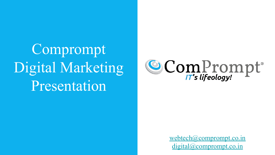Comprompt Digital Marketing Presentation



[webtech@comprompt.co.in](mailto:webtech@comprompt.co.in) [digital@comprompt.co.in](mailto:digital@comprompt.co.in)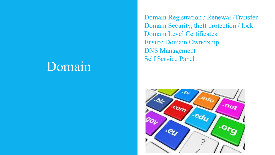#### Domain

Domain Registration / Renewal /Transfer Domain Security, theft protection / lock Domain Level Certificates Ensure Domain Ownership DNS Management Self Service Panel

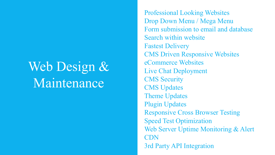## Web Design & Maintenance

Professional Looking Websites Drop Down Menu / Mega Menu Form submission to email and database Search within website Fastest Delivery CMS Driven Responsive Websites eCommerce Websites Live Chat Deployment CMS Security CMS Updates Theme Updates Plugin Updates Responsive Cross Browser Testing Speed Test Optimization Web Server Uptime Monitoring & Alert CDN 3rd Party API Integration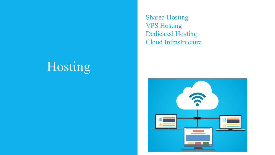## Hosting

Shared Hosting VPS Hosting Dedicated Hosting Cloud Infrastructure

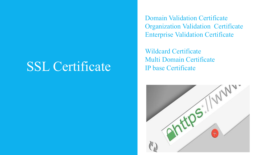#### SSL Certificate

Domain Validation Certificate Organization Validation Certificate Enterprise Validation Certificate

Wildcard Certificate Multi Domain Certificate IP base Certificate

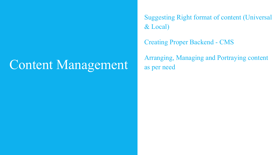#### Content Management

Suggesting Right format of content (Universal & Local)

Creating Proper Backend - CMS

Arranging, Managing and Portraying content as per need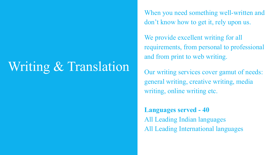## Writing & Translation

When you need something well-written and don't know how to get it, rely upon us.

We provide excellent writing for all requirements, from personal to professional and from print to web writing.

Our writing services cover gamut of needs: general writing, creative writing, media writing, online writing etc.

**Languages served - 40** All Leading Indian languages All Leading International languages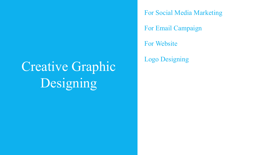# Creative Graphic Designing

For Social Media Marketing

For Email Campaign

For Website

Logo Designing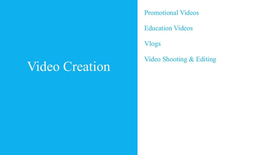### Video Creation

Promotional Videos

Education Videos

Vlogs

Video Shooting & Editing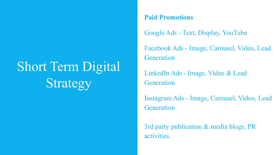# Short Term Digital Strategy

#### **Paid Promotions**

Google Ads - Text, Display, YouTube

Facebook Ads - Image, Carousel, Video, Lead **Generation** 

LinkedIn Ads - Image, Video & Lead **Generation** 

Instagram Ads - Image, Carousel, Video, Lead **Generation** 

3rd party publication & media blogs, PR activities.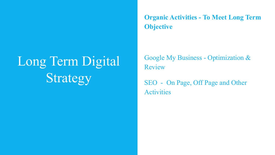# Long Term Digital Strategy

**Organic Activities - To Meet Long Term Objective** 

Google My Business - Optimization & Review

SEO - On Page, Off Page and Other **Activities**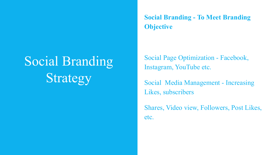# Social Branding Strategy

**Social Branding - To Meet Branding Objective**

Social Page Optimization - Facebook, Instagram, YouTube etc.

Social Media Management - Increasing Likes, subscribers

Shares, Video view, Followers, Post Likes, etc.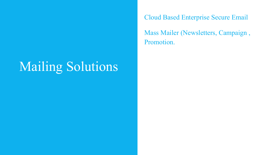## Mailing Solutions

Cloud Based Enterprise Secure Email

Mass Mailer (Newsletters, Campaign , Promotion.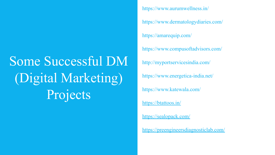# Some Successful DM (Digital Marketing) Projects

https://www.aurumwellness.in/ https://www.dermatologydiaries.com/ https://amarequip.com/ https://www.compusoftadvisors.com/ <http://myportservicesindia.com/> <https://www.energetica-india.net/> <https://www.katewala.com/> <https://btattoos.in/> <https://sealopack.com/> <https://preengineersdiagnosticlab.com/>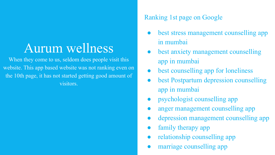### Aurum wellness

When they come to us, seldom does people visit this website. This app based website was not ranking even on the 10th page, it has not started getting good amount of visitors.

#### Ranking 1st page on Google

- best stress management counselling app in mumbai
- best anxiety management counselling app in mumbai
- best counselling app for loneliness
- best Postpartum depression counselling app in mumbai
- psychologist counselling app
- anger management counselling app
- depression management counselling app
- family therapy app
- relationship counselling app
- marriage counselling app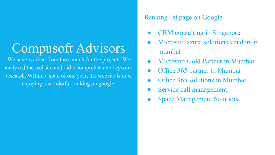## Compusoft Advisors

We have worked from the scratch for the project. We analyzed the website and did a comprehensive keyword research. WIthin a span of one year, the website is now enjoying a wonderful ranking on google.

#### Ranking 1st page on Google

- **CRM** consulting in Singapore
- Microsoft azure solutions vendors in mumbai
- Microsoft Gold Partner in Mumbai
- Office 365 partner in Mumbai
- Office 365 solutions in Mumbai
- Service call management
- **Space Management Solutions**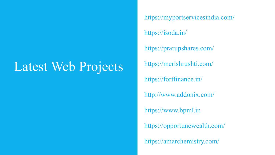## Latest Web Projects

https://myportservicesindia.com/

https://isoda.in/

https://prarupshares.com/

https://merishrushti.com/

https://fortfinance.in/

http://www.addonix.com/

https://www.bpml.in

https://opportunewealth.com/

https://amarchemistry.com/